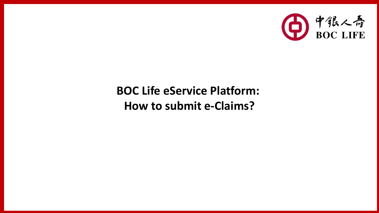

# **BOC Life eService Platform: How to submit e-Claims?**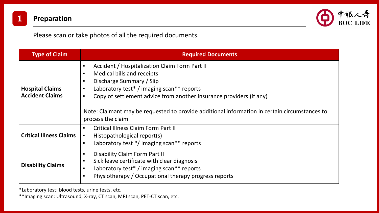



Please scan or take photos of all the required documents.

| <b>Type of Claim</b>                             | <b>Required Documents</b>                                                                                                                                                                                                                                                                                                                                                                      |  |  |  |  |  |
|--------------------------------------------------|------------------------------------------------------------------------------------------------------------------------------------------------------------------------------------------------------------------------------------------------------------------------------------------------------------------------------------------------------------------------------------------------|--|--|--|--|--|
| <b>Hospital Claims</b><br><b>Accident Claims</b> | Accident / Hospitalization Claim Form Part II<br>$\blacksquare$<br><b>Medical bills and receipts</b><br>п<br>Discharge Summary / Slip<br>п<br>Laboratory test* / imaging scan** reports<br>٠<br>Copy of settlement advice from another insurance providers (if any)<br>п<br>Note: Claimant may be requested to provide additional information in certain circumstances to<br>process the claim |  |  |  |  |  |
| <b>Critical Illness Claims</b>                   | <b>Critical Illness Claim Form Part II</b><br>$\blacksquare$<br>Histopathological report(s)<br>$\blacksquare$<br>Laboratory test */ Imaging scan** reports<br>$\blacksquare$                                                                                                                                                                                                                   |  |  |  |  |  |
| <b>Disability Claims</b>                         | Disability Claim Form Part II<br>٠<br>Sick leave certificate with clear diagnosis<br>п<br>Laboratory test* / imaging scan** reports<br>$\blacksquare$<br>Physiotherapy / Occupational therapy progress reports                                                                                                                                                                                 |  |  |  |  |  |

\*Laboratory test: blood tests, urine tests, etc.

\*\*Imaging scan: Ultrasound, X-ray, CT scan, MRI scan, PET-CT scan, etc.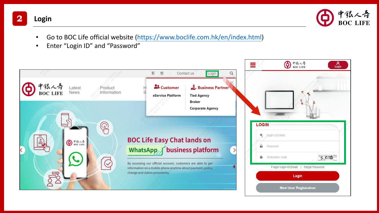



- Go to BOC Life official website [\(https://www.boclife.com.hk/en/index.html\)](https://www.boclife.com.hk/en/index.html)
- Enter "Login ID" and "Password"

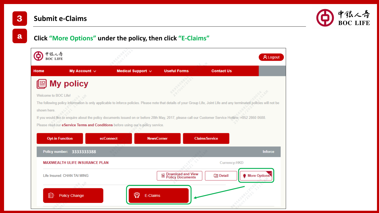## **Submit e-Claims**



#### **a Click "More Options" under the policy, then click "E-Claims"**

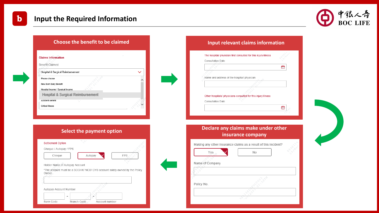

|                                                                                                             |              |                          | The hospital/ physician first consulted for this injury/illr                                                   |
|-------------------------------------------------------------------------------------------------------------|--------------|--------------------------|----------------------------------------------------------------------------------------------------------------|
| <b>Claims Information</b>                                                                                   |              | Consultation Date        |                                                                                                                |
| Benefit Claimed                                                                                             |              |                          |                                                                                                                |
| Hospital & Surgical Reimbursement                                                                           | $\checkmark$ |                          |                                                                                                                |
| Please choose                                                                                               |              |                          | Name and address of the hospital/ physician                                                                    |
| New Born Baby Benefit                                                                                       |              |                          |                                                                                                                |
| Hospital Income / Surgical Income                                                                           |              |                          |                                                                                                                |
| Hospital & Surgical Reimbursement                                                                           |              |                          | Other hospitals/ physicians consulted for this injury/illn                                                     |
| Accident Benetit                                                                                            |              | <b>Consultation Date</b> |                                                                                                                |
|                                                                                                             |              |                          |                                                                                                                |
| <b>Select the payment option</b>                                                                            |              |                          |                                                                                                                |
|                                                                                                             |              |                          |                                                                                                                |
| Settlement Option                                                                                           |              |                          |                                                                                                                |
| Cheque / Autopay / FPS                                                                                      |              |                          | Declare any claims make und<br>insurance company<br>Making any other insurance claims as a result of th<br>No. |
| Cheque<br>Autopay                                                                                           | <b>FPS</b>   | Yes                      |                                                                                                                |
|                                                                                                             |              | Name of Company          |                                                                                                                |
| Holder Name of Autopay Account<br>*The account must be a BOCHK/ NCB/ CYB account solely owned by the Policy |              |                          |                                                                                                                |
| <b>Critical Illness</b><br>Owner.                                                                           |              |                          |                                                                                                                |
|                                                                                                             |              | Policy No.               |                                                                                                                |

#### **Choose the benefit to be claimed Input relevant claims information**

| The hospital/ physician first consulted for this injury/illness |                                                               |  |
|-----------------------------------------------------------------|---------------------------------------------------------------|--|
| <b>Consultation Date</b>                                        |                                                               |  |
|                                                                 |                                                               |  |
|                                                                 |                                                               |  |
| Name and address of the hospital/ physician                     |                                                               |  |
|                                                                 |                                                               |  |
|                                                                 |                                                               |  |
|                                                                 | Other hospitals/ physicians consulted for this injury/illness |  |
| <b>Consultation Date</b>                                        |                                                               |  |
|                                                                 |                                                               |  |
|                                                                 |                                                               |  |
|                                                                 |                                                               |  |
|                                                                 | Declare any claims make under other                           |  |
| Making any other insurance claims as a result of this incident? | insurance company                                             |  |
|                                                                 |                                                               |  |
| Yes                                                             | No                                                            |  |
|                                                                 |                                                               |  |
| Name of Company                                                 |                                                               |  |
|                                                                 |                                                               |  |
|                                                                 |                                                               |  |
|                                                                 |                                                               |  |
| Policy No.                                                      |                                                               |  |
|                                                                 |                                                               |  |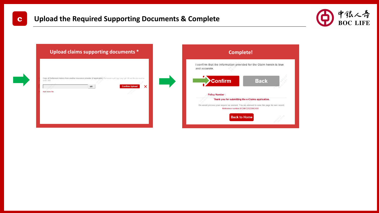

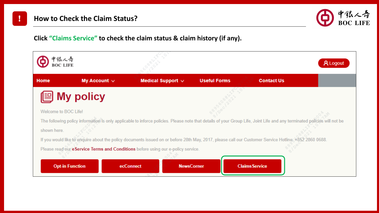

### **Click "Claims Service" to check the claim status & claim history (if any).**

| 狠人奇<br>C LIFE                              |                   |                                                                                                       |                     | <b>A</b> Logout                                                                                                                                                                |
|--------------------------------------------|-------------------|-------------------------------------------------------------------------------------------------------|---------------------|--------------------------------------------------------------------------------------------------------------------------------------------------------------------------------|
| Home                                       | My Account $\vee$ | Medical Support $\vee$                                                                                | <b>Useful Forms</b> | <b>Contact Us</b>                                                                                                                                                              |
| <b>图 My policy</b><br>Welcome to BOC Life! |                   |                                                                                                       |                     |                                                                                                                                                                                |
| shown here.                                |                   |                                                                                                       |                     | The following policy information is only applicable to inforce policies. Please note that details of your Group Life, Joint Life and any terminated policies will not be       |
| <b>Opt-in Function</b>                     | ecConnect         | Please read our eService Terms and Conditions before using our e-policy service.<br><b>NewsCorner</b> |                     | If you would like to enquire about the policy documents issued on or before 28th May, 2017, please call our Customer Service Hotline; 4852 2860 0688.<br><b>Claims Service</b> |